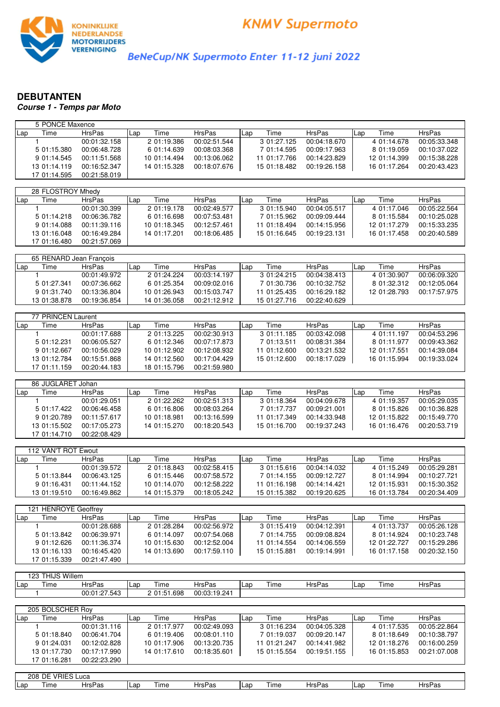

BeNeCup/NK Supermoto Enter 11-12 juni 2022

## **DEBUTANTEN**

**Course 1 - Temps par Moto**

| 5 PONCE Maxence         |               |     |              |               |     |              |               |     |              |               |
|-------------------------|---------------|-----|--------------|---------------|-----|--------------|---------------|-----|--------------|---------------|
| Time<br>Lap             | <b>HrsPas</b> | Lap | Time         | <b>HrsPas</b> | Lap | Time         | <b>HrsPas</b> | Lap | Time         | <b>HrsPas</b> |
| $\mathbf{1}$            | 00:01:32.158  |     | 2 01:19.386  | 00:02:51.544  |     | 3 01:27.125  | 00:04:18.670  |     | 4 01:14.678  | 00:05:33.348  |
| 5 01:15.380             | 00:06:48.728  |     | 6 01:14.639  | 00:08:03.368  |     | 7 01:14.595  | 00:09:17.963  |     | 8 01:19.059  | 00:10:37.022  |
| 9 01:14.545             | 00:11:51.568  |     | 10 01:14.494 | 00:13:06.062  |     | 11 01:17.766 | 00:14:23.829  |     | 12 01:14.399 | 00:15:38.228  |
| 13 01:14.119            | 00:16:52.347  |     | 14 01:15.328 | 00:18:07.676  |     | 15 01:18.482 | 00:19:26.158  |     | 16 01:17.264 | 00:20:43.423  |
| 17 01:14.595            | 00:21:58.019  |     |              |               |     |              |               |     |              |               |
|                         |               |     |              |               |     |              |               |     |              |               |
| 28 FLOSTROY Mhedy       |               |     |              |               |     |              |               |     |              |               |
| Lap<br>Time             | <b>HrsPas</b> | Lap | Time         | <b>HrsPas</b> | Lap | Time         | <b>HrsPas</b> | Lap | Time         | <b>HrsPas</b> |
| 1                       | 00:01:30.399  |     | 2 01:19.178  | 00:02:49.577  |     | 3 01:15.940  | 00:04:05.517  |     | 4 01:17.046  | 00:05:22.564  |
| 5 01:14.218             | 00:06:36.782  |     | 6 01:16.698  | 00:07:53.481  |     | 7 01:15.962  | 00:09:09.444  |     | 8 01:15.584  | 00:10:25.028  |
| 9 01:14.088             | 00:11:39.116  |     | 10 01:18.345 | 00:12:57.461  |     | 11 01:18.494 | 00:14:15.956  |     | 12 01:17.279 | 00:15:33.235  |
| 13 01:16.048            | 00:16:49.284  |     | 14 01:17.201 | 00:18:06.485  |     | 15 01:16.645 | 00:19:23.131  |     | 16 01:17.458 | 00:20:40.589  |
| 17 01:16.480            | 00:21:57.069  |     |              |               |     |              |               |     |              |               |
|                         |               |     |              |               |     |              |               |     |              |               |
| 65 RENARD Jean François |               |     |              |               |     |              |               |     |              |               |
| Time<br>Lap             | <b>HrsPas</b> | Lap | Time         | <b>HrsPas</b> | Lap | Time         | <b>HrsPas</b> | Lap | Time         | <b>HrsPas</b> |
| 1                       | 00:01:49.972  |     | 2 01:24.224  | 00:03:14.197  |     | 3 01:24.215  | 00:04:38.413  |     | 4 01:30.907  | 00:06:09.320  |
| 5 01:27.341             | 00:07:36.662  |     | 6 01:25.354  | 00:09:02.016  |     | 7 01:30.736  | 00:10:32.752  |     | 8 01:32.312  | 00:12:05.064  |
| 9 01:31.740             | 00:13:36.804  |     | 10 01:26.943 | 00:15:03.747  |     | 11 01:25.435 | 00:16:29.182  |     | 12 01:28.793 | 00:17:57.975  |
| 13 01:38.878            | 00:19:36.854  |     | 14 01:36.058 | 00:21:12.912  |     | 15 01:27.716 | 00:22:40.629  |     |              |               |
|                         |               |     |              |               |     |              |               |     |              |               |
| 77 PRINCEN Laurent      |               |     |              |               |     |              |               |     |              |               |
| Lap<br>Time             | <b>HrsPas</b> | Lap | Time         | <b>HrsPas</b> | Lap | Time         | <b>HrsPas</b> | Lap | Time         | <b>HrsPas</b> |
| $\mathbf{1}$            | 00:01:17.688  |     | 2 01:13.225  | 00:02:30.913  |     | 3 01:11.185  | 00:03:42.098  |     | 4 01:11.197  | 00:04:53.296  |
| 5 01:12.231             | 00:06:05.527  |     | 6 01:12.346  | 00:07:17.873  |     | 7 01:13.511  | 00:08:31.384  |     | 8 01:11.977  | 00:09:43.362  |
|                         | 00:10:56.029  |     | 10 01:12.902 | 00:12:08.932  |     | 11 01:12.600 | 00:13:21.532  |     | 12 01:17.551 | 00:14:39.084  |
| 9 01:12.667             |               |     |              |               |     |              |               |     |              |               |
| 13 01:12.784            | 00:15:51.868  |     | 14 01:12.560 | 00:17:04.429  |     | 15 01:12.600 | 00:18:17.029  |     | 16 01:15.994 | 00:19:33.024  |
| 17 01:11.159            | 00:20:44.183  |     | 18 01:15.796 | 00:21:59.980  |     |              |               |     |              |               |
| 86 JUGLARET Johan       |               |     |              |               |     |              |               |     |              |               |
|                         |               |     |              |               |     |              | <b>HrsPas</b> |     |              |               |
| Time<br>Lap             | <b>HrsPas</b> | Lap | Time         | <b>HrsPas</b> | Lap | Time         |               | Lap | Time         | <b>HrsPas</b> |
| 1                       | 00:01:29.051  |     | 2 01:22.262  | 00:02:51.313  |     | 3 01:18.364  | 00:04:09.678  |     | 4 01:19.357  | 00:05:29.035  |
| 5 01:17.422             | 00:06:46.458  |     | 6 01:16.806  | 00:08:03.264  |     | 7 01:17.737  | 00:09:21.001  |     | 8 01:15.826  | 00:10:36.828  |
| 9 01:20.789             | 00:11:57.617  |     | 10 01:18.981 | 00:13:16.599  |     | 11 01:17.349 | 00:14:33.948  |     | 12 01:15.822 | 00:15:49.770  |
| 13 01:15.502            | 00:17:05.273  |     | 14 01:15.270 | 00:18:20.543  |     | 15 01:16.700 | 00:19:37.243  |     | 16 01:16.476 | 00:20:53.719  |
| 17 01:14.710            | 00:22:08.429  |     |              |               |     |              |               |     |              |               |
|                         |               |     |              |               |     |              |               |     |              |               |
| 112 VAN'T ROT Ewout     |               |     |              |               |     |              |               |     |              |               |
| Time<br>Lap             | <b>HrsPas</b> | Lap | Time         | <b>HrsPas</b> | Lap | Time         | <b>HrsPas</b> | Lap | Time         | <b>HrsPas</b> |
| $\mathbf{1}$            | 00:01:39.572  |     | 2 01:18.843  | 00:02:58.415  |     | 3 01:15.616  | 00:04:14.032  |     | 4 01:15.249  | 00:05:29.281  |
| 5 01:13.844             | 00:06:43.125  |     | 6 01:15.446  | 00:07:58.572  |     | 7 01:14.155  | 00:09:12.727  |     | 8 01:14.994  | 00:10:27.721  |
| 9 01:16.431             | 00:11:44.152  |     | 10 01:14.070 | 00:12:58.222  |     | 11 01:16.198 | 00:14:14.421  |     | 12 01:15.931 | 00:15:30.352  |
| 13 01:19.510            | 00:16:49.862  |     | 14 01:15.379 | 00:18:05.242  |     | 15 01:15.382 | 00:19:20.625  |     | 16 01:13.784 | 00:20:34.409  |
|                         |               |     |              |               |     |              |               |     |              |               |
| 121 HENROYE Geoffrey    |               |     |              |               |     |              |               |     |              |               |
| Time<br>Lap             | <b>HrsPas</b> | Lap | Time         | <b>HrsPas</b> | Lap | Time         | <b>HrsPas</b> | Lap | Time         | <b>HrsPas</b> |
| $\mathbf{1}$            | 00:01:28.688  |     | 2 01:28.284  | 00:02:56.972  |     | 3 01:15.419  | 00:04:12.391  |     | 4 01:13.737  | 00:05:26.128  |

| Lap | ıme          | піэгаэ       | ⊩∟a∪ | шве          | піэгаэ       | ⊩∟aµ | ,,,,,,,      | піэгаэ       | Lau | i ili i e    | піэгаэ       |
|-----|--------------|--------------|------|--------------|--------------|------|--------------|--------------|-----|--------------|--------------|
|     |              | 00:01:28.688 |      | 2 01:28.284  | 00:02:56.972 |      | 3 01:15.419  | 00:04:12.391 |     | 4 01:13.737  | 00:05:26.128 |
|     | 5 01:13.842  | 00:06:39.971 |      | 6 01:14.097  | 00:07:54.068 |      | 7 01:14.755  | 00:09:08.824 |     | 8 01:14.924  | 00:10:23.748 |
|     | 9 01:12.626  | 00:11:36.374 |      | 10 01:15.630 | 00:12:52.004 |      | 11 01:14.554 | 00:14:06.559 |     | 12 01:22.727 | 00:15:29.286 |
|     | 13 01:16.133 | 00:16:45.420 |      | 14 01:13.690 | 00:17:59.110 |      | 15 01:15.881 | 00:19:14.991 |     | 16 01:17.158 | 00:20:32.150 |
|     | 17 01:15.339 | 00:21:47.490 |      |              |              |      |              |              |     |              |              |

| $\overline{a}$ | <b>HIJS Willem</b><br>$\sim$<br>ـ ت∠، |                           |     |                                               |              |       |      |               |     |      |               |
|----------------|---------------------------------------|---------------------------|-----|-----------------------------------------------|--------------|-------|------|---------------|-----|------|---------------|
| Lap            | , ime                                 | <b>HrsPas</b>             | Lap | ÷<br>ime                                      | HrsPas       | l Lap | Time | <b>HrsPas</b> | Lar | lime | <b>HrsPas</b> |
|                |                                       | 543<br>00:01:27.<br>, ט⊤ט |     | .698<br>$\sim$ $\sim$ $\sim$<br>$\sim$<br>, ن | 00:03:19.241 |       |      |               |     |      |               |

|     | 205 BOLSCHER Rov |               |     |              |               |     |              |               |      |              |               |
|-----|------------------|---------------|-----|--------------|---------------|-----|--------------|---------------|------|--------------|---------------|
| Lap | Гіmе             | <b>HrsPas</b> | Lap | Time         | <b>HrsPas</b> | Lap | Time         | <b>HrsPas</b> | ILap | Time         | <b>HrsPas</b> |
|     |                  | 00:01:31.116  |     | 2 01:17.977  | 00:02:49.093  |     | 3 01:16.234  | 00:04:05.328  |      | 4 01:17.535  | 00:05:22.864  |
|     | 5 01:18.840      | 00:06:41.704  |     | 6 01:19.406  | 00:08:01.110  |     | 7 01:19.037  | 00:09:20.147  |      | 8 01:18.649  | 00:10:38.797  |
|     | 9 01:24.031      | 00:12:02.828  |     | 10 01:17.906 | 00:13:20.735  |     | 11 01:21.247 | 00:14:41.982  |      | 12 01:18.276 | 00:16:00.259  |
|     | 13 01:17.730     | 00:17:17.990  |     | 14 01:17.610 | 00:18:35.601  |     | 15 01:15.554 | 00:19:51.155  |      | 16 01:15.853 | 00:21:07.008  |
|     | 17 01:16.281     | 00:22:23.290  |     |              |               |     |              |               |      |              |               |

| 208 | DE<br><b>VRIES</b> | Luca   |     |      |        |     |       |               |      |      |                    |
|-----|--------------------|--------|-----|------|--------|-----|-------|---------------|------|------|--------------------|
| Lap | ⊺ime               | HrsPas | ∟ar | lime | HrsPas | Lar | I ıme | <b>HrsPas</b> | ⊩∟ar | lime | <del>I</del> rsPas |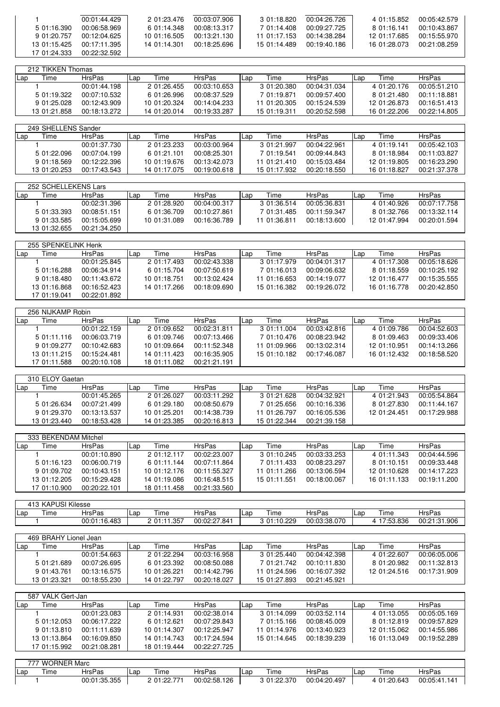|              | 00:01:44.429 | 2 01:23.476  | 00:03:07.906 | 3 01:18.820  | 00:04:26.726 | 4 01:15.852  | 00:05:42.579 |
|--------------|--------------|--------------|--------------|--------------|--------------|--------------|--------------|
| 5 01:16.390  | 00:06:58.969 | 6 01:14.348  | 00:08:13.317 | 7 01:14.408  | 00:09:27.725 | 8 01:16 141  | 00:10:43.867 |
| 9 01:20.757  | 00:12:04.625 | 10 01:16.505 | 00:13:21.130 | 11 01:17 153 | 00:14:38.284 | 12 01:17.685 | 00:15:55.970 |
| 13 01:15.425 | 00:17:11.395 | 14 01:14.301 | 00:18:25.696 | 15 01:14.489 | 00:19:40.186 | 16 01:28.073 | 00:21:08.259 |
| 17 01:24.333 | 00:22:32.592 |              |              |              |              |              |              |

|     | 212 TIKKEN Thomas |              |     |              |               |     |              |               |     |              |               |
|-----|-------------------|--------------|-----|--------------|---------------|-----|--------------|---------------|-----|--------------|---------------|
| Lap | ime               | HrsPas       | Lap | Time         | <b>HrsPas</b> | Lap | Time         | <b>HrsPas</b> | Lap | Time         | <b>HrsPas</b> |
|     |                   | 00:01:44.198 |     | 2 01:26.455  | 00:03:10.653  |     | 3 01:20.380  | 00:04:31.034  |     | 4 01:20.176  | 00:05:51.210  |
|     | 5 01:19.322       | 00:07:10.532 |     | 6 01:26.996  | 00:08:37.529  |     | 7 01:19.871  | 00:09:57.400  |     | 8 01:21.480  | 00:11:18.881  |
|     | 9 01:25.028       | 00:12:43.909 |     | 10 01:20.324 | 00:14:04.233  |     | 11 01:20.305 | 00:15:24.539  |     | 12 01:26.873 | 00:16:51.413  |
|     | 13 01:21.858      | 00:18:13.272 |     | 14 01:20.014 | 00:19:33.287  |     | 15 01:19.311 | 00:20:52.598  |     | 16 01:22.206 | 00:22:14.805  |

|       | 249 SHELLENS Sander |               |     |              |               |       |              |               |     |              |               |
|-------|---------------------|---------------|-----|--------------|---------------|-------|--------------|---------------|-----|--------------|---------------|
| l Lap | Time                | <b>HrsPas</b> | Lap | Time         | <b>HrsPas</b> | . Lap | Time         | <b>HrsPas</b> | Lap | Time         | <b>HrsPas</b> |
|       |                     | 00:01:37.730  |     | 2 01:23.233  | 00:03:00.964  |       | 3 01:21.997  | 00:04:22.961  |     | 4 01:19.141  | 00:05:42.103  |
|       | 5 01:22.096         | 00:07:04.199  |     | 6 01:21.101  | 00:08:25.301  |       | 7 01:19.541  | 00:09:44.843  |     | 8 01:18.984  | 00:11:03.827  |
|       | 9 01:18.569         | 00:12:22.396  |     | 10 01:19.676 | 00:13:42.073  |       | 11 01:21.410 | 00:15:03.484  |     | 12 01:19.805 | 00:16:23.290  |
|       | 13 01:20.253        | 00:17:43.543  |     | 14 01:17.075 | 00:19:00.618  |       | 15 01:17.932 | 00:20:18.550  |     | 16 01:18.827 | 00:21:37.378  |

|     | 252 SCHELLEKENS Lars |               |     |              |               |     |              |               |      |              |              |
|-----|----------------------|---------------|-----|--------------|---------------|-----|--------------|---------------|------|--------------|--------------|
| Lap | lime                 | <b>HrsPas</b> | Lap | Time         | <b>HrsPas</b> | Lap | Time         | <b>HrsPas</b> | ILap | Time         | HrsPas       |
|     |                      | 00:02:31.396  |     | 2 01:28.920  | 00:04:00.317  |     | 3 01:36.514  | 00:05:36.831  |      | 4 01:40.926  | 00:07:17.758 |
|     | 5 01:33.393          | 00:08:51.151  |     | 6 01:36.709  | 00:10:27.861  |     | 7 01:31.485  | 00:11:59.347  |      | 8 01:32.766  | 00:13:32.114 |
|     | 9 01:33.585          | 00:15:05.699  |     | 10 01:31.089 | 00:16:36.789  |     | 11 01:36.811 | 00:18:13.600  |      | 12 01:47.994 | 00:20:01.594 |
|     | 13 01:32.655         | 00:21:34.250  |     |              |               |     |              |               |      |              |              |

|     | 255 SPENKELINK Henk |               |     |              |               |     |              |               |     |              |               |
|-----|---------------------|---------------|-----|--------------|---------------|-----|--------------|---------------|-----|--------------|---------------|
| Lap | <b>Time</b>         | <b>HrsPas</b> | Lap | Time         | <b>HrsPas</b> | Lap | Time         | <b>HrsPas</b> | Lap | Time         | <b>HrsPas</b> |
|     |                     | 00:01:25.845  |     | 2 01:17.493  | 00:02:43.338  |     | 3 01:17.979  | 00:04:01.317  |     | 4 01:17.308  | 00:05:18.626  |
|     | 5 01:16.288         | 00:06:34.914  |     | 6 01:15.704  | 00:07:50.619  |     | 7 01:16.013  | 00:09:06.632  |     | 8 01:18.559  | 00:10:25.192  |
|     | 9 01:18.480         | 00:11:43.672  |     | 10 01:18.751 | 00:13:02.424  |     | 11 01:16.653 | 00:14:19.077  |     | 12 01:16.477 | 00:15:35.555  |
|     | 13 01:16.868        | 00:16:52.423  |     | 14 01:17.266 | 00:18:09.690  |     | 15 01:16.382 | 00:19:26.072  |     | 16 01:16.778 | 00:20:42.850  |
|     | 17 01:19.041        | 00:22:01.892  |     |              |               |     |              |               |     |              |               |
|     |                     |               |     |              |               |     |              |               |     |              |               |

|       | 256 NIJKAMP Robin |               |     |              |               |     |              |               |     |              |               |
|-------|-------------------|---------------|-----|--------------|---------------|-----|--------------|---------------|-----|--------------|---------------|
| l Lap | Time              | <b>HrsPas</b> | Lap | Time         | <b>HrsPas</b> | Lan | Time         | <b>HrsPas</b> | Lap | Time         | <b>HrsPas</b> |
|       |                   | 00:01:22.159  |     | 2 01:09.652  | 00:02:31.811  |     | 3 01:11.004  | 00:03:42.816  |     | 4 01:09.786  | 00:04:52.603  |
|       | 5 01:11.116       | 00:06:03.719  |     | 6 01:09.746  | 00:07:13.466  |     | 7 01:10.476  | 00:08:23.942  |     | 8 01:09.463  | 00:09:33.406  |
|       | 9 01:09.277       | 00:10:42.683  |     | 10 01:09.664 | 00:11:52.348  |     | 11 01:09.966 | 00:13:02.314  |     | 12 01:10.951 | 00:14:13.266  |
|       | 13 01:11.215      | 00:15:24.481  |     | 14 01:11.423 | 00:16:35.905  |     | 15 01:10.182 | 00:17:46.087  |     | 16 01:12.432 | 00:18:58.520  |
|       | 17 01:11.588      | 00:20:10.108  |     | 18 01:11.082 | 00:21:21.191  |     |              |               |     |              |               |

|     | 310 ELOY Gaetan |               |     |              |               |     |              |               |            |              |              |
|-----|-----------------|---------------|-----|--------------|---------------|-----|--------------|---------------|------------|--------------|--------------|
| Lap | Time            | <b>HrsPas</b> | Lap | Time         | <b>HrsPas</b> | Lap | Time         | <b>HrsPas</b> | <b>Lap</b> | Time         | HrsPas       |
|     |                 | 00:01:45.265  |     | 2 01:26.027  | 00:03:11.292  |     | 3 01:21.628  | 00:04:32.921  |            | 4 01:21.943  | 00:05:54.864 |
|     | 5 01:26.634     | 00:07:21.499  |     | 6 01:29.180  | 00:08:50.679  |     | 7 01:25.656  | 00:10:16.336  |            | 8 01:27.830  | 00:11:44.167 |
|     | 9 01:29.370     | 00:13:13.537  |     | 10 01:25.201 | 00:14:38.739  |     | 11 01:26.797 | 00:16:05.536  |            | 12 01:24.451 | 00:17:29.988 |
|     | 13 01:23.440    | 00:18:53.428  |     | 14 01:23.385 | 00:20:16.813  |     | 15 01:22.344 | 00:21:39.158  |            |              |              |

| 333 BEKENDAM Mitchel |              |               |     |              |               |     |              |               |     |              |               |
|----------------------|--------------|---------------|-----|--------------|---------------|-----|--------------|---------------|-----|--------------|---------------|
| l Lap                | Time         | <b>HrsPas</b> | Lap | Time         | <b>HrsPas</b> | Lap | Time         | <b>HrsPas</b> | Lap | Time         | <b>HrsPas</b> |
|                      |              | 00:01:10.890  |     | 2 01:12.117  | 00:02:23.007  |     | 3 01:10.245  | 00:03:33.253  |     | 4 01:11.343  | 00:04:44.596  |
|                      | 5 01:16.123  | 00:06:00.719  |     | 6 01:11.144  | 00:07:11.864  |     | 7 01:11.433  | 00:08:23.297  |     | 8 01:10.151  | 00:09:33.448  |
|                      | 9 01:09.702  | 00:10:43.151  |     | 10 01:12.176 | 00:11:55.327  |     | 11 01:11.266 | 00:13:06.594  |     | 12 01:10.628 | 00:14:17.223  |
|                      | 13 01:12.205 | 00:15:29.428  |     | 14 01:19.086 | 00:16:48.515  |     | 15 01:11.551 | 00:18:00.067  |     | 16 01:11.133 | 00:19:11.200  |
|                      | 17 01:10.900 | 00:20:22.101  |     | 18 01:11.458 | 00:21:33.560  |     |              |               |     |              |               |

|     | 413 KAPUSI Kilesse |              |      |                         |              |             |           |              |     |                                      |                     |  |  |
|-----|--------------------|--------------|------|-------------------------|--------------|-------------|-----------|--------------|-----|--------------------------------------|---------------------|--|--|
| Lap | ime                | HrsPas       | .Lap | lime                    | HrsPas       | . or<br>Lal | 'ime      | HrsPas       | Lar | lime                                 | <b>HrsPas</b>       |  |  |
|     |                    | 00:01:16.483 |      | . 357<br>01:11<br>ںں. ا | 00:02:27.841 |             | 01:10.229 | 00:03:38.070 |     | <b>836</b><br>$\sqrt{52}$<br>.JJ.UJU | :31.906<br>00:21:31 |  |  |

| 469 BRAHY Lionel Jean |              |               |     |              |               |     |              |               |     |              |               |
|-----------------------|--------------|---------------|-----|--------------|---------------|-----|--------------|---------------|-----|--------------|---------------|
| l Lap                 | <b>l</b> ime | <b>HrsPas</b> | Lap | Time         | <b>HrsPas</b> | Lap | Time         | <b>HrsPas</b> | Lap | Time         | <b>HrsPas</b> |
|                       |              | 00:01:54.663  |     | 2 01:22.294  | 00:03:16.958  |     | 3 01:25.440  | 00:04:42.398  |     | 4 01:22.607  | 00:06:05.006  |
|                       | 5 01:21.689  | 00:07:26.695  |     | 6 01:23.392  | 00:08:50.088  |     | 7 01:21.742  | 00:10:11.830  |     | 8 01:20.982  | 00:11:32.813  |
|                       | 9 01:43.761  | 00:13:16.575  |     | 10 01:26.221 | 00:14:42.796  |     | 11 01:24.596 | 00:16:07.392  |     | 12 01:24.516 | 00:17:31.909  |
|                       | 13 01:23.321 | 00:18:55.230  |     | 14 01:22.797 | 00:20:18.027  |     | 15 01:27.893 | 00:21:45.921  |     |              |               |

|     | 587 VALK Gert-Jan |               |     |              |               |     |              |               |      |              |               |
|-----|-------------------|---------------|-----|--------------|---------------|-----|--------------|---------------|------|--------------|---------------|
| Lap | Time              | <b>HrsPas</b> | ∟ap | Time         | <b>HrsPas</b> | Lap | Time         | <b>HrsPas</b> | ILap | Time         | <b>HrsPas</b> |
|     |                   | 00:01:23.083  |     | 2 01:14.931  | 00:02:38.014  |     | 3 01:14.099  | 00:03:52.114  |      | 4 01:13.055  | 00:05:05.169  |
|     | 5 01:12.053       | 00:06:17.222  |     | 6 01:12.621  | 00:07:29.843  |     | 7 01:15.166  | 00:08:45.009  |      | 8 01:12.819  | 00:09:57.829  |
|     | 9 01:13.810       | 00:11:11.639  |     | 10 01:14.307 | 00:12:25.947  |     | 11 01:14.976 | 00:13:40.923  |      | 12 01:15.062 | 00:14:55.986  |
|     | 13 01:13.864      | 00:16:09.850  |     | 14 01:14.743 | 00:17:24.594  |     | 15 01:14.645 | 00:18:39.239  |      | 16 01:13.049 | 00:19:52.289  |
|     | 17 01:15.992      | 00:21:08.281  |     | 18 01:19.444 | 00:22:27.725  |     |              |               |      |              |               |

|     | 777 WORNER Marc |               |      |             |              |     |             |               |       |              |               |  |  |
|-----|-----------------|---------------|------|-------------|--------------|-----|-------------|---------------|-------|--------------|---------------|--|--|
| Lap | --<br>lime      | <b>HrsPas</b> | -Lap | ime         | HrsPas       | Lap | Lime        | <b>HrsPas</b> | l Lap | Time         | <b>HrsPas</b> |  |  |
|     |                 | 00:01:35.355  |      | 2 01:22.771 | 00:02:58.126 |     | 3 01:22.370 | 00:04:20.497  |       | $-01:20.643$ | 00:05:41.141  |  |  |